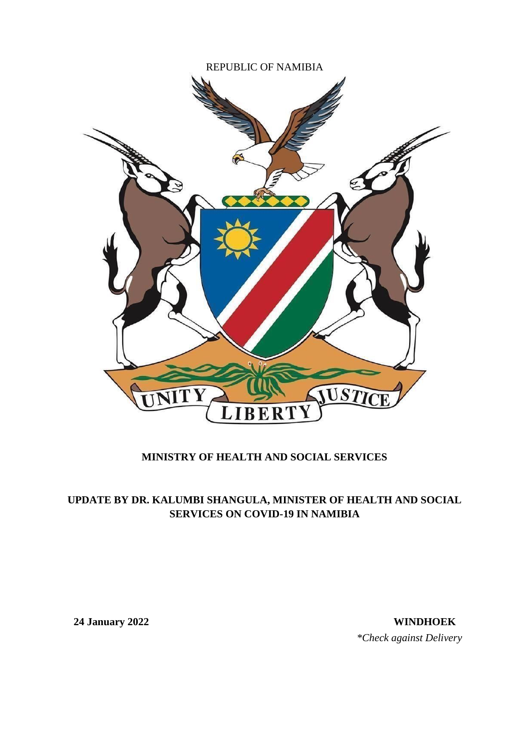

## **MINISTRY OF HEALTH AND SOCIAL SERVICES**

## **UPDATE BY DR. KALUMBI SHANGULA, MINISTER OF HEALTH AND SOCIAL SERVICES ON COVID-19 IN NAMIBIA**

**24 January 2022 WINDHOEK** *\*Check against Delivery*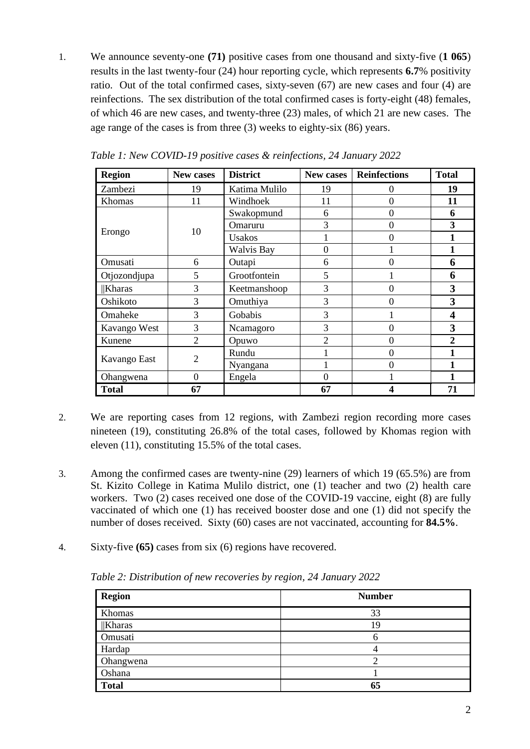1. We announce seventy-one **(71)** positive cases from one thousand and sixty-five (**1 065**) results in the last twenty-four (24) hour reporting cycle, which represents **6.7**% positivity ratio. Out of the total confirmed cases, sixty-seven (67) are new cases and four (4) are reinfections. The sex distribution of the total confirmed cases is forty-eight (48) females, of which 46 are new cases, and twenty-three (23) males, of which 21 are new cases. The age range of the cases is from three (3) weeks to eighty-six (86) years.

| <b>Region</b> | New cases      | <b>District</b> | New cases      | <b>Reinfections</b> | <b>Total</b>   |
|---------------|----------------|-----------------|----------------|---------------------|----------------|
| Zambezi       | 19             | Katima Mulilo   | 19             | 0                   | 19             |
| Khomas        | 11             | Windhoek        | 11             | $\theta$            | 11             |
|               |                | Swakopmund      | 6              | $\theta$            | 6              |
|               | 10             | Omaruru         | 3              | $\overline{0}$      | 3              |
| Erongo        |                | Usakos          |                | $\Omega$            |                |
|               |                | Walvis Bay      | 0              |                     |                |
| Omusati       | 6              | Outapi          | 6              | $\theta$            | 6              |
| Otjozondjupa  | 5              | Grootfontein    | 5              |                     | 6              |
| <b>Kharas</b> | 3              | Keetmanshoop    | 3              | $\overline{0}$      | 3              |
| Oshikoto      | 3              | Omuthiya        | 3              | 0                   | 3              |
| Omaheke       | 3              | Gobabis         | 3              |                     | 4              |
| Kavango West  | 3              | Ncamagoro       | 3              | $\overline{0}$      | 3              |
| Kunene        | $\overline{2}$ | Opuwo           | $\overline{2}$ | $\overline{0}$      | $\overline{2}$ |
|               | $\overline{2}$ | Rundu           |                | $\overline{0}$      |                |
| Kavango East  |                | Nyangana        |                | $\overline{0}$      |                |
| Ohangwena     | $\Omega$       | Engela          | $\Omega$       |                     |                |
| <b>Total</b>  | 67             |                 | 67             | 4                   | 71             |

*Table 1: New COVID-19 positive cases & reinfections, 24 January 2022*

- 2. We are reporting cases from 12 regions, with Zambezi region recording more cases nineteen (19), constituting 26.8% of the total cases, followed by Khomas region with eleven (11), constituting 15.5% of the total cases.
- 3. Among the confirmed cases are twenty-nine (29) learners of which 19 (65.5%) are from St. Kizito College in Katima Mulilo district, one (1) teacher and two (2) health care workers. Two (2) cases received one dose of the COVID-19 vaccine, eight (8) are fully vaccinated of which one (1) has received booster dose and one (1) did not specify the number of doses received. Sixty (60) cases are not vaccinated, accounting for **84.5%**.
- 4. Sixty-five **(65)** cases from six (6) regions have recovered.

*Table 2: Distribution of new recoveries by region, 24 January 2022*

| Region       | <b>Number</b> |
|--------------|---------------|
| Khomas       | 33            |
| $  $ Kharas  | 19            |
| Omusati      |               |
| Hardap       |               |
| Ohangwena    |               |
| Oshana       |               |
| <b>Total</b> | 65            |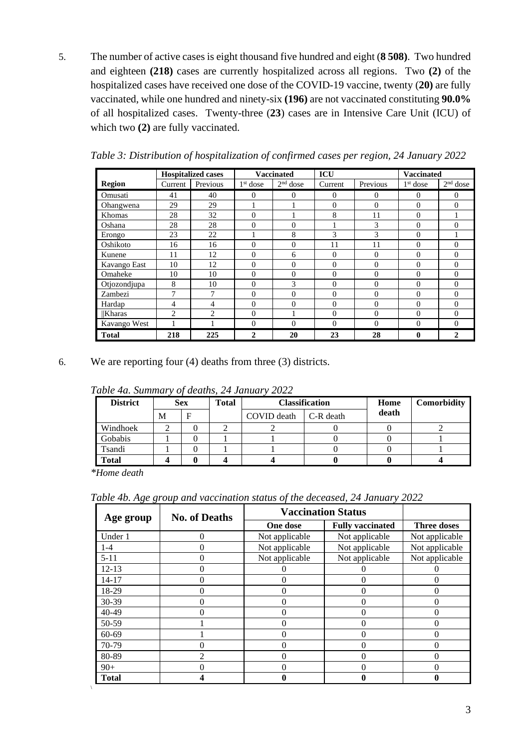5. The number of active cases is eight thousand five hundred and eight (**8 508)**. Two hundred and eighteen **(218)** cases are currently hospitalized across all regions. Two **(2)** of the hospitalized cases have received one dose of the COVID-19 vaccine, twenty (**20)** are fully vaccinated, while one hundred and ninety-six **(196)** are not vaccinated constituting **90.0%** of all hospitalized cases. Twenty-three (**23**) cases are in Intensive Care Unit (ICU) of which two **(2)** are fully vaccinated.

|              |                | <b>Hospitalized cases</b> |                | <b>Vaccinated</b> | <b>ICU</b> |          | <b>Vaccinated</b> |            |
|--------------|----------------|---------------------------|----------------|-------------------|------------|----------|-------------------|------------|
| Region       | Current        | Previous                  | $1st$ dose     | $2nd$ dose        | Current    | Previous | $1st$ dose        | $2nd$ dose |
| Omusati      | 41             | 40                        | $\Omega$       | 0                 | $\Omega$   | $\Omega$ | 0                 | 0          |
| Ohangwena    | 29             | 29                        |                |                   | 0          | $\Omega$ | $\Omega$          | $\Omega$   |
| Khomas       | 28             | 32                        | $\overline{0}$ |                   | 8          | 11       | $\theta$          |            |
| Oshana       | 28             | 28                        | 0              | 0                 |            | 3        | $\overline{0}$    | $\Omega$   |
| Erongo       | 23             | 22                        |                | 8                 | 3          | 3        | $\overline{0}$    |            |
| Oshikoto     | 16             | 16                        | $\theta$       | $\theta$          | 11         | 11       | $\theta$          | $\Omega$   |
| Kunene       | 11             | 12                        | $\Omega$       | 6                 | $\Omega$   | $\Omega$ | $\Omega$          | $\Omega$   |
| Kavango East | 10             | 12                        | $\theta$       | 0                 | 0          | $\Omega$ | $\theta$          | $\Omega$   |
| Omaheke      | 10             | 10                        | $\Omega$       | $\Omega$          | $\Omega$   | $\Omega$ | $\Omega$          | $\Omega$   |
| Otjozondjupa | 8              | 10                        | $\theta$       | 3                 | 0          | $\Omega$ | $\theta$          | $\Omega$   |
| Zambezi      | 7              | 7                         | $\Omega$       | $\theta$          | 0          | $\Omega$ | $\theta$          | $\Omega$   |
| Hardap       | 4              | 4                         | $\theta$       | $\theta$          | $\theta$   | $\Omega$ | $\theta$          | $\theta$   |
| Kharas       | $\overline{c}$ | 2                         | $\theta$       |                   | $\theta$   | $\Omega$ | $\theta$          | $\Omega$   |
| Kavango West |                |                           | $\theta$       | $\Omega$          | 0          | $\Omega$ | $\theta$          | $\Omega$   |
| <b>Total</b> | 218            | 225                       | $\mathbf{2}$   | 20                | 23         | 28       | 0                 | 2          |

*Table 3: Distribution of hospitalization of confirmed cases per region, 24 January 2022*

6. We are reporting four (4) deaths from three (3) districts.

| Tubic Tu, Dumman v 01 acams, 21 January 2022 |   |            |       |             |                                      |       |             |  |  |  |
|----------------------------------------------|---|------------|-------|-------------|--------------------------------------|-------|-------------|--|--|--|
| <b>District</b>                              |   | <b>Sex</b> | Total |             | <b>Classification</b>                | Home  | Comorbidity |  |  |  |
|                                              | М |            |       | COVID death | $\mathsf{C}\text{-}\mathsf{R}$ death | death |             |  |  |  |
| Windhoek                                     |   |            |       |             |                                      |       |             |  |  |  |
| Gobabis                                      |   |            |       |             |                                      |       |             |  |  |  |
| Tsandi                                       |   |            |       |             |                                      |       |             |  |  |  |
| <b>Total</b>                                 |   |            |       |             |                                      |       |             |  |  |  |

*Table 4a. Summary of deaths, 24 January 2022*

*\*Home death*

\

*Table 4b. Age group and vaccination status of the deceased, 24 January 2022*

| Age group    | <b>No. of Deaths</b> |                | <b>Vaccination Status</b> |                    |
|--------------|----------------------|----------------|---------------------------|--------------------|
|              |                      | One dose       | <b>Fully vaccinated</b>   | <b>Three doses</b> |
| Under 1      | $\Omega$             | Not applicable | Not applicable            | Not applicable     |
| $1 - 4$      |                      | Not applicable | Not applicable            | Not applicable     |
| $5 - 11$     | 0                    | Not applicable | Not applicable            | Not applicable     |
| $12 - 13$    |                      |                |                           |                    |
| 14-17        |                      |                |                           |                    |
| 18-29        |                      |                |                           |                    |
| $30-39$      |                      |                |                           |                    |
| $40 - 49$    |                      |                |                           |                    |
| 50-59        |                      | 0              |                           |                    |
| $60 - 69$    |                      |                |                           |                    |
| 70-79        |                      |                |                           |                    |
| 80-89        | っ                    |                |                           |                    |
| $90+$        | 0                    | 0              | 0                         |                    |
| <b>Total</b> |                      |                |                           |                    |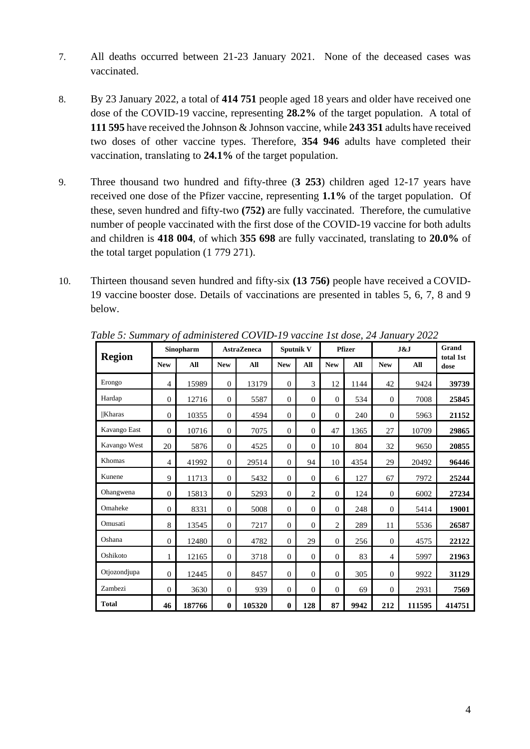- 7. All deaths occurred between 21-23 January 2021. None of the deceased cases was vaccinated.
- 8. By 23 January 2022, a total of **414 751** people aged 18 years and older have received one dose of the COVID-19 vaccine, representing **28.2%** of the target population. A total of **111 595** have received the Johnson & Johnson vaccine, while **243 351** adults have received two doses of other vaccine types. Therefore, **354 946** adults have completed their vaccination, translating to **24.1%** of the target population.
- 9. Three thousand two hundred and fifty-three (**3 253**) children aged 12-17 years have received one dose of the Pfizer vaccine, representing **1.1%** of the target population. Of these, seven hundred and fifty-two **(752)** are fully vaccinated. Therefore, the cumulative number of people vaccinated with the first dose of the COVID-19 vaccine for both adults and children is **418 004**, of which **355 698** are fully vaccinated, translating to **20.0%** of the total target population (1 779 271).
- 10. Thirteen thousand seven hundred and fifty-six **(13 756)** people have received a COVID-19 vaccine booster dose. Details of vaccinations are presented in tables 5, 6, 7, 8 and 9 below.

|               |                | Sinopharm |                | <b>AstraZeneca</b> |                | Sputnik V      |                | <b>Pfizer</b> |                | J&J    |                   |
|---------------|----------------|-----------|----------------|--------------------|----------------|----------------|----------------|---------------|----------------|--------|-------------------|
| <b>Region</b> | <b>New</b>     | All       | <b>New</b>     | All                | <b>New</b>     | All            | <b>New</b>     | All           | <b>New</b>     | All    | total 1st<br>dose |
| Erongo        | $\overline{4}$ | 15989     | $\overline{0}$ | 13179              | $\mathbf{0}$   | 3              | 12             | 1144          | 42             | 9424   | 39739             |
| Hardap        | $\theta$       | 12716     | $\theta$       | 5587               | $\mathbf{0}$   | $\mathbf{0}$   | $\Omega$       | 534           | $\mathbf{0}$   | 7008   | 25845             |
| <b>Kharas</b> | $\Omega$       | 10355     | $\overline{0}$ | 4594               | $\mathbf{0}$   | $\Omega$       | $\Omega$       | 240           | $\mathbf{0}$   | 5963   | 21152             |
| Kavango East  | $\Omega$       | 10716     | $\overline{0}$ | 7075               | $\mathbf{0}$   | $\Omega$       | 47             | 1365          | 27             | 10709  | 29865             |
| Kavango West  | 20             | 5876      | $\theta$       | 4525               | $\Omega$       | $\Omega$       | 10             | 804           | 32             | 9650   | 20855             |
| Khomas        | 4              | 41992     | $\theta$       | 29514              | $\overline{0}$ | 94             | 10             | 4354          | 29             | 20492  | 96446             |
| Kunene        | 9              | 11713     | $\mathbf{0}$   | 5432               | $\overline{0}$ | $\mathbf{0}$   | 6              | 127           | 67             | 7972   | 25244             |
| Ohangwena     | $\theta$       | 15813     | $\theta$       | 5293               | $\overline{0}$ | $\overline{2}$ | $\mathbf{0}$   | 124           | $\mathbf{0}$   | 6002   | 27234             |
| Omaheke       | $\Omega$       | 8331      | $\theta$       | 5008               | $\mathbf{0}$   | $\mathbf{0}$   | $\Omega$       | 248           | $\mathbf{0}$   | 5414   | 19001             |
| Omusati       | 8              | 13545     | $\Omega$       | 7217               | $\mathbf{0}$   | $\theta$       | $\overline{2}$ | 289           | 11             | 5536   | 26587             |
| Oshana        | $\Omega$       | 12480     | $\Omega$       | 4782               | $\mathbf{0}$   | 29             | $\Omega$       | 256           | $\Omega$       | 4575   | 22122             |
| Oshikoto      | 1              | 12165     | $\overline{0}$ | 3718               | $\mathbf{0}$   | $\mathbf{0}$   | $\theta$       | 83            | $\overline{4}$ | 5997   | 21963             |
| Otjozondjupa  | $\theta$       | 12445     | $\theta$       | 8457               | $\overline{0}$ | $\mathbf{0}$   | $\Omega$       | 305           | $\mathbf{0}$   | 9922   | 31129             |
| Zambezi       | $\Omega$       | 3630      | $\mathbf{0}$   | 939                | $\mathbf{0}$   | $\Omega$       | $\Omega$       | 69            | $\mathbf{0}$   | 2931   | 7569              |
| <b>Total</b>  | 46             | 187766    | $\mathbf{0}$   | 105320             | $\bf{0}$       | 128            | 87             | 9942          | 212            | 111595 | 414751            |

*Table 5: Summary of administered COVID-19 vaccine 1st dose, 24 January 2022*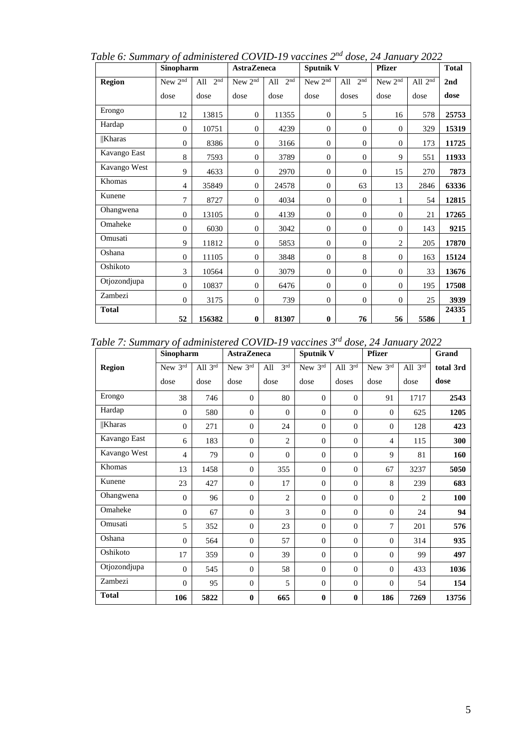| Table 6: Summary of administered COVID-19 vaccines 2" dose, 24 January 2022 |                  |                        |                     |                        |                  |                           |               |              |              |
|-----------------------------------------------------------------------------|------------------|------------------------|---------------------|------------------------|------------------|---------------------------|---------------|--------------|--------------|
|                                                                             | <b>Sinopharm</b> |                        | <b>AstraZeneca</b>  |                        | <b>Sputnik V</b> |                           | <b>Pfizer</b> |              | <b>Total</b> |
| Region                                                                      | New $2nd$        | 2 <sub>nd</sub><br>All | New 2 <sup>nd</sup> | 2 <sup>nd</sup><br>All |                  | New $2^{nd}$ All $2^{nd}$ | New $2nd$     | All $2^{nd}$ | 2nd          |
|                                                                             | dose             | dose                   | dose                | dose                   | dose             | doses                     | dose          | dose         | dose         |
| Erongo                                                                      | . .              | .                      | -                   |                        |                  |                           |               | ---          |              |

*Table 6: Summary of administered COVID-19 vaccines 2nd dose, 24 January 2022*

| wegion        |                |        |                  | .     |                  |                |                |      |            |
|---------------|----------------|--------|------------------|-------|------------------|----------------|----------------|------|------------|
|               | dose           | dose   | dose             | dose  | dose             | doses          | dose           | dose | dose       |
| Erongo        | 12             | 13815  | $\mathbf{0}$     | 11355 | $\theta$         | 5              | 16             | 578  | 25753      |
| Hardap        | $\mathbf{0}$   | 10751  | $\theta$         | 4239  | $\mathbf{0}$     | $\theta$       | $\theta$       | 329  | 15319      |
| <b>Kharas</b> | $\theta$       | 8386   | $\theta$         | 3166  | $\mathbf{0}$     | $\theta$       | $\Omega$       | 173  | 11725      |
| Kavango East  | 8              | 7593   | $\theta$         | 3789  | $\mathbf{0}$     | $\theta$       | 9              | 551  | 11933      |
| Kavango West  | 9              | 4633   | $\theta$         | 2970  | $\overline{0}$   | $\overline{0}$ | 15             | 270  | 7873       |
| Khomas        | 4              | 35849  | $\boldsymbol{0}$ | 24578 | $\mathbf{0}$     | 63             | 13             | 2846 | 63336      |
| Kunene        | $\tau$         | 8727   | $\theta$         | 4034  | $\mathbf{0}$     | $\theta$       |                | 54   | 12815      |
| Ohangwena     | $\overline{0}$ | 13105  | $\theta$         | 4139  | $\mathbf{0}$     | $\theta$       | $\Omega$       | 21   | 17265      |
| Omaheke       | $\mathbf{0}$   | 6030   | $\theta$         | 3042  | $\mathbf{0}$     | $\theta$       | $\overline{0}$ | 143  | 9215       |
| Omusati       | 9              | 11812  | $\theta$         | 5853  | $\mathbf{0}$     | $\theta$       | 2              | 205  | 17870      |
| Oshana        | $\theta$       | 11105  | $\boldsymbol{0}$ | 3848  | $\mathbf{0}$     | 8              | $\theta$       | 163  | 15124      |
| Oshikoto      | 3              | 10564  | $\theta$         | 3079  | $\mathbf{0}$     | $\Omega$       | $\overline{0}$ | 33   | 13676      |
| Otjozondjupa  | $\theta$       | 10837  | $\theta$         | 6476  | $\theta$         | $\theta$       | $\theta$       | 195  | 17508      |
| Zambezi       | $\mathbf{0}$   | 3175   | $\boldsymbol{0}$ | 739   | $\boldsymbol{0}$ | $\theta$       | $\theta$       | 25   | 3939       |
| <b>Total</b>  | 52             | 156382 | $\bf{0}$         | 81307 | $\bf{0}$         | 76             | 56             | 5586 | 24335<br>1 |

*Table 7: Summary of administered COVID-19 vaccines 3rd dose, 24 January 2022*

|               | Sinopharm      |         | <b>AstraZeneca</b> |                        | <b>Sputnik V</b> |                | <b>Pfizer</b>  |                     | Grand     |
|---------------|----------------|---------|--------------------|------------------------|------------------|----------------|----------------|---------------------|-----------|
| <b>Region</b> | New 3rd        | All 3rd | New 3rd            | 3 <sup>rd</sup><br>All | New 3rd          | All $3^{rd}$   | New 3rd        | All $3^{\text{rd}}$ | total 3rd |
|               | dose           | dose    | dose               | dose                   | dose             | doses          | dose           | dose                | dose      |
| Erongo        | 38             | 746     | $\Omega$           | 80                     | $\Omega$         | $\theta$       | 91             | 1717                | 2543      |
| Hardap        | $\theta$       | 580     | $\Omega$           | $\theta$               | $\Omega$         | $\overline{0}$ | $\Omega$       | 625                 | 1205      |
| <b>Kharas</b> | $\theta$       | 271     | $\Omega$           | 24                     | $\Omega$         | $\overline{0}$ | $\Omega$       | 128                 | 423       |
| Kavango East  | 6              | 183     | $\Omega$           | $\overline{2}$         | $\Omega$         | $\overline{0}$ | $\overline{4}$ | 115                 | 300       |
| Kavango West  | $\overline{4}$ | 79      | $\theta$           | $\mathbf{0}$           | $\Omega$         | $\overline{0}$ | 9              | 81                  | 160       |
| Khomas        | 13             | 1458    | $\Omega$           | 355                    | $\Omega$         | $\mathbf{0}$   | 67             | 3237                | 5050      |
| Kunene        | 23             | 427     | $\Omega$           | 17                     | $\mathbf{0}$     | $\mathbf{0}$   | 8              | 239                 | 683       |
| Ohangwena     | $\theta$       | 96      | $\Omega$           | $\overline{2}$         | $\mathbf{0}$     | $\mathbf{0}$   | $\overline{0}$ | $\overline{c}$      | 100       |
| Omaheke       | $\theta$       | 67      | $\Omega$           | 3                      | $\Omega$         | $\mathbf{0}$   | $\Omega$       | 24                  | 94        |
| Omusati       | 5              | 352     | $\theta$           | 23                     | $\Omega$         | $\mathbf{0}$   | $\overline{7}$ | 201                 | 576       |
| Oshana        | $\overline{0}$ | 564     | $\Omega$           | 57                     | $\mathbf{0}$     | $\theta$       | $\overline{0}$ | 314                 | 935       |
| Oshikoto      | 17             | 359     | $\theta$           | 39                     | $\mathbf{0}$     | $\theta$       | $\overline{0}$ | 99                  | 497       |
| Otjozondjupa  | $\theta$       | 545     | $\theta$           | 58                     | $\mathbf{0}$     | $\mathbf{0}$   | $\overline{0}$ | 433                 | 1036      |
| Zambezi       | $\Omega$       | 95      | $\Omega$           | 5                      | $\Omega$         | $\overline{0}$ | $\Omega$       | 54                  | 154       |
| <b>Total</b>  | 106            | 5822    | $\mathbf{0}$       | 665                    | $\mathbf{0}$     | $\bf{0}$       | 186            | 7269                | 13756     |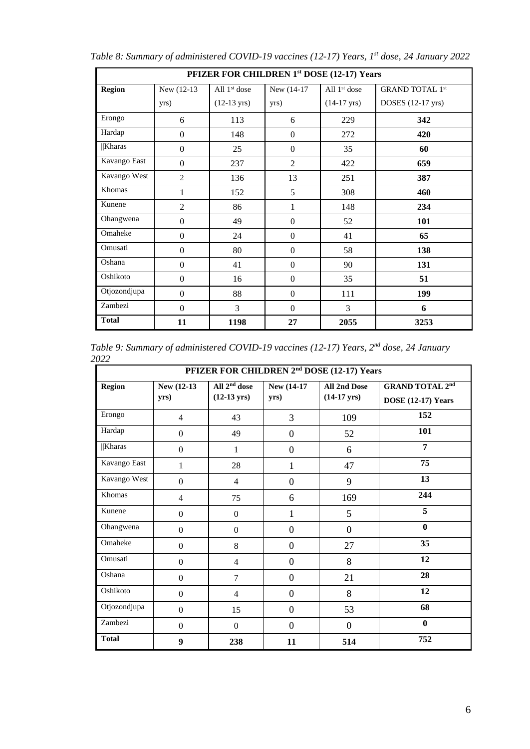|               | PFIZER FOR CHILDREN 1st DOSE (12-17) Years |                       |                  |                       |                        |  |  |  |  |  |
|---------------|--------------------------------------------|-----------------------|------------------|-----------------------|------------------------|--|--|--|--|--|
| <b>Region</b> | New (12-13)                                | All $1st$ dose        | New (14-17)      | All $1st$ dose        | <b>GRAND TOTAL 1st</b> |  |  |  |  |  |
|               | yrs)                                       | $(12-13 \text{ yrs})$ | yrs)             | $(14-17 \text{ yrs})$ | DOSES (12-17 yrs)      |  |  |  |  |  |
| Erongo        | 6                                          | 113                   | 6                | 229                   | 342                    |  |  |  |  |  |
| Hardap        | $\mathbf{0}$                               | 148                   | $\mathbf{0}$     | 272                   | 420                    |  |  |  |  |  |
| $  $ Kharas   | $\Omega$                                   | 25                    | $\boldsymbol{0}$ | 35                    | 60                     |  |  |  |  |  |
| Kavango East  | $\Omega$                                   | 237                   | $\overline{2}$   | 422                   | 659                    |  |  |  |  |  |
| Kavango West  | $\overline{2}$                             | 136                   | 13               | 251                   | 387                    |  |  |  |  |  |
| Khomas        | 1                                          | 152                   | 5                | 308                   | 460                    |  |  |  |  |  |
| Kunene        | $\overline{2}$                             | 86                    | 1                | 148                   | 234                    |  |  |  |  |  |
| Ohangwena     | $\Omega$                                   | 49                    | $\boldsymbol{0}$ | 52                    | 101                    |  |  |  |  |  |
| Omaheke       | $\Omega$                                   | 24                    | $\boldsymbol{0}$ | 41                    | 65                     |  |  |  |  |  |
| Omusati       | $\Omega$                                   | 80                    | $\Omega$         | 58                    | 138                    |  |  |  |  |  |
| Oshana        | $\Omega$                                   | 41                    | $\Omega$         | 90                    | 131                    |  |  |  |  |  |
| Oshikoto      | $\Omega$                                   | 16                    | $\mathbf{0}$     | 35                    | 51                     |  |  |  |  |  |
| Otjozondjupa  | $\Omega$                                   | 88                    | $\boldsymbol{0}$ | 111                   | 199                    |  |  |  |  |  |
| Zambezi       | $\Omega$                                   | 3                     | $\mathbf{0}$     | 3                     | 6                      |  |  |  |  |  |
| <b>Total</b>  | 11                                         | 1198                  | 27               | 2055                  | 3253                   |  |  |  |  |  |

*Table 8: Summary of administered COVID-19 vaccines (12-17) Years, 1st dose, 24 January 2022*

Table 9: Summary of administered COVID-19 vaccines (12-17) Years, 2<sup>nd</sup> dose, 24 January *2022*

|               | PFIZER FOR CHILDREN 2 <sup>nd</sup> DOSE (12-17) Years |                                                   |                     |                                              |                                                     |  |  |  |  |  |
|---------------|--------------------------------------------------------|---------------------------------------------------|---------------------|----------------------------------------------|-----------------------------------------------------|--|--|--|--|--|
| <b>Region</b> | New (12-13)<br>yrs)                                    | All 2 <sup>nd</sup> dose<br>$(12-13 \text{ yrs})$ | New (14-17)<br>yrs) | <b>All 2nd Dose</b><br>$(14-17 \text{ yrs})$ | <b>GRAND TOTAL 2nd</b><br><b>DOSE</b> (12-17) Years |  |  |  |  |  |
| Erongo        | $\overline{4}$                                         | 43                                                | 3                   | 109                                          | 152                                                 |  |  |  |  |  |
| Hardap        | $\overline{0}$                                         | 49                                                | $\boldsymbol{0}$    | 52                                           | 101                                                 |  |  |  |  |  |
| Kharas        | $\overline{0}$                                         | $\mathbf{1}$                                      | $\overline{0}$      | 6                                            | 7                                                   |  |  |  |  |  |
| Kavango East  | 1                                                      | 28                                                | $\mathbf{1}$        | 47                                           | 75                                                  |  |  |  |  |  |
| Kavango West  | $\overline{0}$                                         | $\overline{4}$                                    | $\overline{0}$      | 9                                            | 13                                                  |  |  |  |  |  |
| Khomas        | $\overline{4}$                                         | 75                                                | 6                   | 169                                          | 244                                                 |  |  |  |  |  |
| Kunene        | $\boldsymbol{0}$                                       | $\boldsymbol{0}$                                  | $\mathbf{1}$        | 5                                            | 5                                                   |  |  |  |  |  |
| Ohangwena     | $\mathbf{0}$                                           | $\boldsymbol{0}$                                  | $\mathbf{0}$        | $\mathbf{0}$                                 | $\bf{0}$                                            |  |  |  |  |  |
| Omaheke       | $\mathbf{0}$                                           | 8                                                 | $\mathbf{0}$        | 27                                           | 35                                                  |  |  |  |  |  |
| Omusati       | $\overline{0}$                                         | $\overline{4}$                                    | $\overline{0}$      | 8                                            | 12                                                  |  |  |  |  |  |
| Oshana        | $\overline{0}$                                         | 7                                                 | $\boldsymbol{0}$    | 21                                           | 28                                                  |  |  |  |  |  |
| Oshikoto      | $\boldsymbol{0}$                                       | 4                                                 | $\boldsymbol{0}$    | 8                                            | 12                                                  |  |  |  |  |  |
| Otjozondjupa  | $\overline{0}$                                         | 15                                                | $\mathbf{0}$        | 53                                           | 68                                                  |  |  |  |  |  |
| Zambezi       | $\mathbf{0}$                                           | $\boldsymbol{0}$                                  | $\overline{0}$      | $\overline{0}$                               | $\bf{0}$                                            |  |  |  |  |  |
| <b>Total</b>  | 9                                                      | 238                                               | 11                  | 514                                          | 752                                                 |  |  |  |  |  |